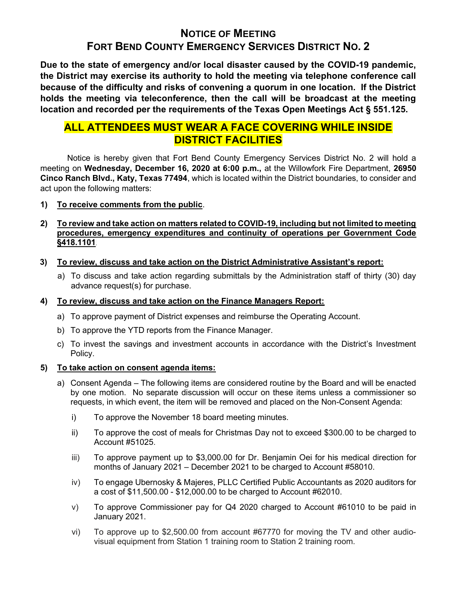# NOTICE OF MEETING FORT BEND COUNTY EMERGENCY SERVICES DISTRICT NO. 2

Due to the state of emergency and/or local disaster caused by the COVID-19 pandemic, the District may exercise its authority to hold the meeting via telephone conference call because of the difficulty and risks of convening a quorum in one location. If the District holds the meeting via teleconference, then the call will be broadcast at the meeting location and recorded per the requirements of the Texas Open Meetings Act § 551.125.

## ALL ATTENDEES MUST WEAR A FACE COVERING WHILE INSIDE DISTRICT FACILITIES

 Notice is hereby given that Fort Bend County Emergency Services District No. 2 will hold a meeting on Wednesday, December 16, 2020 at 6:00 p.m., at the Willowfork Fire Department, 26950 Cinco Ranch Blvd., Katy, Texas 77494, which is located within the District boundaries, to consider and act upon the following matters:

### 1) To receive comments from the public.

### 2) To review and take action on matters related to COVID-19, including but not limited to meeting procedures, emergency expenditures and continuity of operations per Government Code §418.1101.

- 3) To review, discuss and take action on the District Administrative Assistant's report:
	- a) To discuss and take action regarding submittals by the Administration staff of thirty (30) day advance request(s) for purchase.

## 4) To review, discuss and take action on the Finance Managers Report:

- a) To approve payment of District expenses and reimburse the Operating Account.
- b) To approve the YTD reports from the Finance Manager.
- c) To invest the savings and investment accounts in accordance with the District's Investment Policy.

#### 5) To take action on consent agenda items:

- a) Consent Agenda The following items are considered routine by the Board and will be enacted by one motion. No separate discussion will occur on these items unless a commissioner so requests, in which event, the item will be removed and placed on the Non-Consent Agenda:
	- i) To approve the November 18 board meeting minutes.
	- ii) To approve the cost of meals for Christmas Day not to exceed \$300.00 to be charged to Account #51025.
	- iii) To approve payment up to \$3,000.00 for Dr. Benjamin Oei for his medical direction for months of January 2021 – December 2021 to be charged to Account #58010.
	- iv) To engage Ubernosky & Majeres, PLLC Certified Public Accountants as 2020 auditors for a cost of \$11,500.00 - \$12,000.00 to be charged to Account #62010.
	- v) To approve Commissioner pay for Q4 2020 charged to Account #61010 to be paid in January 2021.
	- vi) To approve up to \$2,500.00 from account #67770 for moving the TV and other audiovisual equipment from Station 1 training room to Station 2 training room.